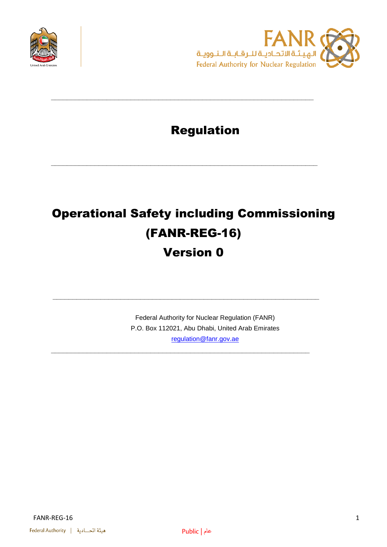



## Regulation

**\_\_\_\_\_\_\_\_\_\_\_\_\_\_\_\_\_\_\_\_\_\_\_\_\_\_\_\_\_\_\_\_\_\_\_\_\_\_\_\_\_\_\_\_\_\_\_\_\_\_\_\_\_\_\_\_\_\_\_\_\_\_\_\_\_\_**

**\_\_\_\_\_\_\_\_\_\_\_\_\_\_\_\_\_\_\_\_\_\_\_\_\_\_\_\_\_\_\_\_\_\_\_\_\_\_\_\_\_\_\_\_\_\_\_\_\_\_\_\_\_\_\_\_\_\_\_\_\_\_\_\_\_\_\_**

# Operational Safety including Commissioning (FANR-REG-16)

## Version 0

**\_\_\_\_\_\_\_\_\_\_\_\_\_\_\_\_\_\_\_\_\_\_\_\_\_\_\_\_\_\_\_\_\_\_\_\_\_\_\_\_\_\_\_\_\_\_\_\_\_\_\_\_\_\_\_\_\_\_\_\_\_\_\_\_\_\_\_**

**\_\_\_\_\_\_\_\_\_\_\_\_\_\_\_\_\_\_\_\_\_\_\_\_\_\_\_\_\_\_\_\_\_\_\_\_\_\_\_\_\_\_\_\_\_\_\_\_\_\_\_\_\_\_\_\_\_\_\_\_\_\_\_\_\_**

Federal Authority for Nuclear Regulation (FANR) P.O. Box 112021, Abu Dhabi, United Arab Emirates [regulation@fanr.gov.ae](http://www.fanr.gov.ae/)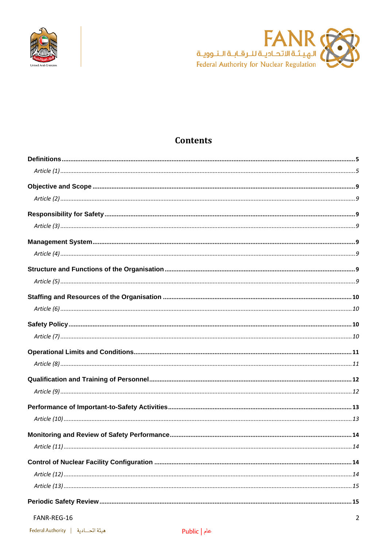



### **Contents**

#### FANR-REG-16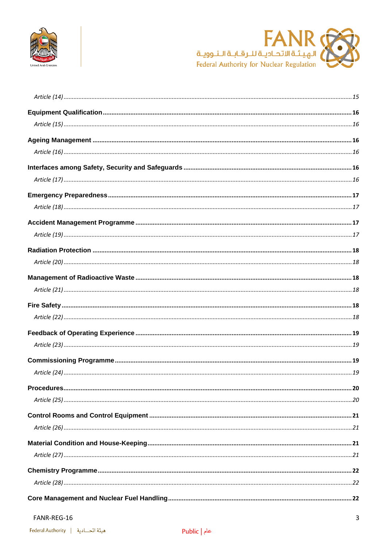



#### FANR-REG-16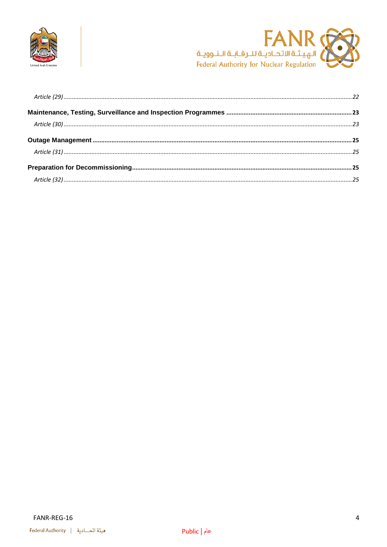

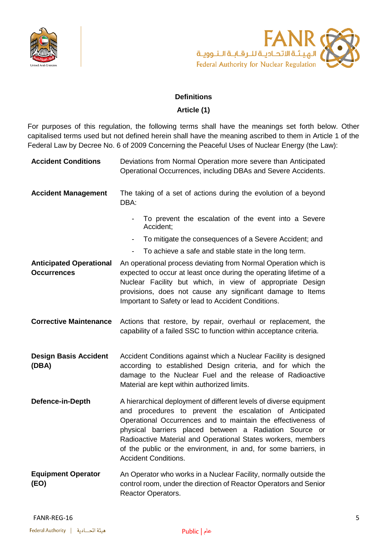



#### **Definitions**

#### **Article (1)**

<span id="page-4-1"></span><span id="page-4-0"></span>For purposes of this regulation, the following terms shall have the meanings set forth below. Other capitalised terms used but not defined herein shall have the meaning ascribed to them in Article 1 of the Federal Law by Decree No. 6 of 2009 Concerning the Peaceful Uses of Nuclear Energy (the Law):

| <b>Accident Conditions</b>                           | Deviations from Normal Operation more severe than Anticipated<br>Operational Occurrences, including DBAs and Severe Accidents.                                                                                                                                                                                                                                                                                            |
|------------------------------------------------------|---------------------------------------------------------------------------------------------------------------------------------------------------------------------------------------------------------------------------------------------------------------------------------------------------------------------------------------------------------------------------------------------------------------------------|
| <b>Accident Management</b>                           | The taking of a set of actions during the evolution of a beyond<br>DBA:                                                                                                                                                                                                                                                                                                                                                   |
|                                                      | To prevent the escalation of the event into a Severe<br>Accident;                                                                                                                                                                                                                                                                                                                                                         |
|                                                      | To mitigate the consequences of a Severe Accident; and<br>$\overline{\phantom{a}}$                                                                                                                                                                                                                                                                                                                                        |
|                                                      | To achieve a safe and stable state in the long term.<br>$\qquad \qquad \blacksquare$                                                                                                                                                                                                                                                                                                                                      |
| <b>Anticipated Operational</b><br><b>Occurrences</b> | An operational process deviating from Normal Operation which is<br>expected to occur at least once during the operating lifetime of a<br>Nuclear Facility but which, in view of appropriate Design<br>provisions, does not cause any significant damage to Items<br>Important to Safety or lead to Accident Conditions.                                                                                                   |
| <b>Corrective Maintenance</b>                        | Actions that restore, by repair, overhaul or replacement, the<br>capability of a failed SSC to function within acceptance criteria.                                                                                                                                                                                                                                                                                       |
| <b>Design Basis Accident</b><br>(DBA)                | Accident Conditions against which a Nuclear Facility is designed<br>according to established Design criteria, and for which the<br>damage to the Nuclear Fuel and the release of Radioactive<br>Material are kept within authorized limits.                                                                                                                                                                               |
| Defence-in-Depth                                     | A hierarchical deployment of different levels of diverse equipment<br>and procedures to prevent the escalation of Anticipated<br>Operational Occurrences and to maintain the effectiveness of<br>physical barriers placed between a Radiation Source or<br>Radioactive Material and Operational States workers, members<br>of the public or the environment, in and, for some barriers, in<br><b>Accident Conditions.</b> |
| <b>Equipment Operator</b><br>(EO)                    | An Operator who works in a Nuclear Facility, normally outside the<br>control room, under the direction of Reactor Operators and Senior<br>Reactor Operators.                                                                                                                                                                                                                                                              |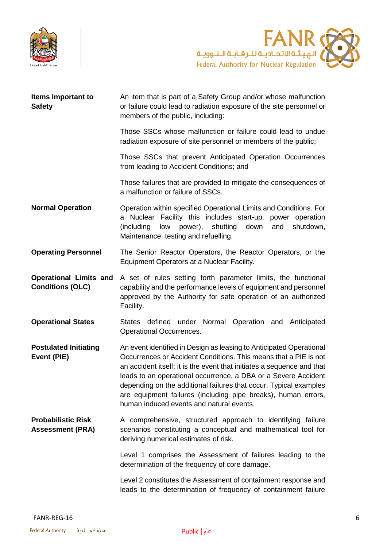



| <b>Items Important to</b><br><b>Safety</b>               | An item that is part of a Safety Group and/or whose malfunction<br>or failure could lead to radiation exposure of the site personnel or<br>members of the public, including:                                                                                                                                                                                                                                                                                          |
|----------------------------------------------------------|-----------------------------------------------------------------------------------------------------------------------------------------------------------------------------------------------------------------------------------------------------------------------------------------------------------------------------------------------------------------------------------------------------------------------------------------------------------------------|
|                                                          | Those SSCs whose malfunction or failure could lead to undue<br>radiation exposure of site personnel or members of the public;                                                                                                                                                                                                                                                                                                                                         |
|                                                          | Those SSCs that prevent Anticipated Operation Occurrences<br>from leading to Accident Conditions; and                                                                                                                                                                                                                                                                                                                                                                 |
|                                                          | Those failures that are provided to mitigate the consequences of<br>a malfunction or failure of SSCs.                                                                                                                                                                                                                                                                                                                                                                 |
| <b>Normal Operation</b>                                  | Operation within specified Operational Limits and Conditions. For<br>a Nuclear Facility this includes start-up, power operation<br>shutting<br>down<br>(including<br>low<br>power),<br>shutdown,<br>and<br>Maintenance, testing and refuelling.                                                                                                                                                                                                                       |
| <b>Operating Personnel</b>                               | The Senior Reactor Operators, the Reactor Operators, or the<br>Equipment Operators at a Nuclear Facility.                                                                                                                                                                                                                                                                                                                                                             |
| <b>Operational Limits and</b><br><b>Conditions (OLC)</b> | A set of rules setting forth parameter limits, the functional<br>capability and the performance levels of equipment and personnel<br>approved by the Authority for safe operation of an authorized<br>Facility.                                                                                                                                                                                                                                                       |
| <b>Operational States</b>                                | States defined under Normal Operation and Anticipated<br>Operational Occurrences.                                                                                                                                                                                                                                                                                                                                                                                     |
| <b>Postulated Initiating</b><br>Event (PIE)              | An event identified in Design as leasing to Anticipated Operational<br>Occurrences or Accident Conditions. This means that a PIE is not<br>an accident itself; it is the event that initiates a sequence and that<br>leads to an operational occurrence, a DBA or a Severe Accident<br>depending on the additional failures that occur. Typical examples<br>are equipment failures (including pipe breaks), human errors,<br>human induced events and natural events. |
| <b>Probabilistic Risk</b><br><b>Assessment (PRA)</b>     | A comprehensive, structured approach to identifying failure<br>scenarios constituting a conceptual and mathematical tool for<br>deriving numerical estimates of risk.                                                                                                                                                                                                                                                                                                 |
|                                                          | Level 1 comprises the Assessment of failures leading to the<br>determination of the frequency of core damage.                                                                                                                                                                                                                                                                                                                                                         |
|                                                          | Level 2 constitutes the Assessment of containment response and<br>leads to the determination of frequency of containment failure                                                                                                                                                                                                                                                                                                                                      |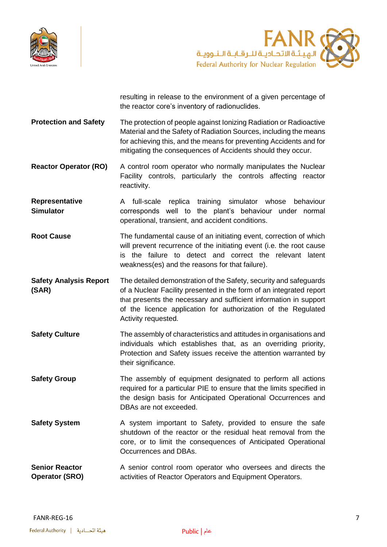



resulting in release to the environment of a given percentage of the reactor core's inventory of radionuclides.

**Protection and Safety** The protection of people against Ionizing Radiation or Radioactive Material and the Safety of Radiation Sources, including the means for achieving this, and the means for preventing Accidents and for mitigating the consequences of Accidents should they occur.

**Reactor Operator (RO)** A control room operator who normally manipulates the Nuclear Facility controls, particularly the controls affecting reactor reactivity.

**Representative Simulator** A full-scale replica training simulator whose behaviour corresponds well to the plant's behaviour under normal operational, transient, and accident conditions.

**Root Cause** The fundamental cause of an initiating event, correction of which will prevent recurrence of the initiating event (i.e. the root cause is the failure to detect and correct the relevant latent weakness(es) and the reasons for that failure).

- **Safety Analysis Report (SAR)** The detailed demonstration of the Safety, security and safeguards of a Nuclear Facility presented in the form of an integrated report that presents the necessary and sufficient information in support of the licence application for authorization of the Regulated Activity requested.
- **Safety Culture** The assembly of characteristics and attitudes in organisations and individuals which establishes that, as an overriding priority, Protection and Safety issues receive the attention warranted by their significance.

**Safety Group** The assembly of equipment designated to perform all actions required for a particular PIE to ensure that the limits specified in the design basis for Anticipated Operational Occurrences and DBAs are not exceeded.

- **Safety System** A system important to Safety, provided to ensure the safe shutdown of the reactor or the residual heat removal from the core, or to limit the consequences of Anticipated Operational Occurrences and DBAs.
- **Senior Reactor Operator (SRO)** A senior control room operator who oversees and directs the activities of Reactor Operators and Equipment Operators.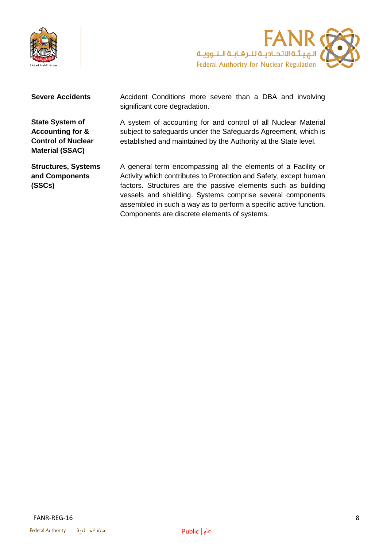



**State System of Accounting for & Control of Nuclear Material (SSAC)**

**Severe Accidents** Accident Conditions more severe than a DBA and involving significant core degradation.

> A system of accounting for and control of all Nuclear Material subject to safeguards under the Safeguards Agreement, which is established and maintained by the Authority at the State level.

**Structures, Systems and Components (SSCs)**

A general term encompassing all the elements of a Facility or Activity which contributes to Protection and Safety, except human factors. Structures are the passive elements such as building vessels and shielding. Systems comprise several components assembled in such a way as to perform a specific active function. Components are discrete elements of systems.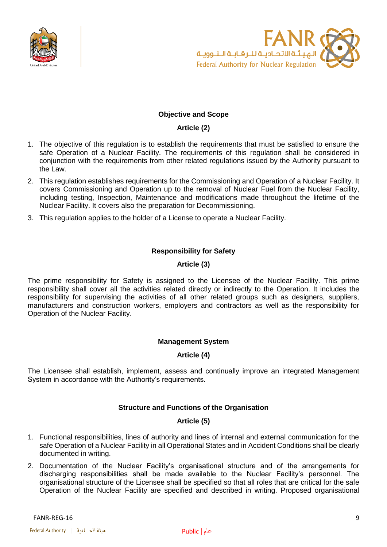



#### **Objective and Scope**

#### **Article (2)**

- <span id="page-8-1"></span><span id="page-8-0"></span>1. The objective of this regulation is to establish the requirements that must be satisfied to ensure the safe Operation of a Nuclear Facility. The requirements of this regulation shall be considered in conjunction with the requirements from other related regulations issued by the Authority pursuant to the Law.
- 2. This regulation establishes requirements for the Commissioning and Operation of a Nuclear Facility. It covers Commissioning and Operation up to the removal of Nuclear Fuel from the Nuclear Facility, including testing, Inspection, Maintenance and modifications made throughout the lifetime of the Nuclear Facility. It covers also the preparation for Decommissioning.
- <span id="page-8-2"></span>3. This regulation applies to the holder of a License to operate a Nuclear Facility.

#### **Responsibility for Safety**

#### **Article (3)**

<span id="page-8-3"></span>The prime responsibility for Safety is assigned to the Licensee of the Nuclear Facility. This prime responsibility shall cover all the activities related directly or indirectly to the Operation. It includes the responsibility for supervising the activities of all other related groups such as designers, suppliers, manufacturers and construction workers, employers and contractors as well as the responsibility for Operation of the Nuclear Facility.

#### **Management System**

#### **Article (4)**

<span id="page-8-6"></span><span id="page-8-5"></span><span id="page-8-4"></span>The Licensee shall establish, implement, assess and continually improve an integrated Management System in accordance with the Authority's requirements.

#### **Structure and Functions of the Organisation**

#### **Article (5)**

- <span id="page-8-7"></span>1. Functional responsibilities, lines of authority and lines of internal and external communication for the safe Operation of a Nuclear Facility in all Operational States and in Accident Conditions shall be clearly documented in writing.
- 2. Documentation of the Nuclear Facility's organisational structure and of the arrangements for discharging responsibilities shall be made available to the Nuclear Facility's personnel. The organisational structure of the Licensee shall be specified so that all roles that are critical for the safe Operation of the Nuclear Facility are specified and described in writing. Proposed organisational

FANR-REG-16 9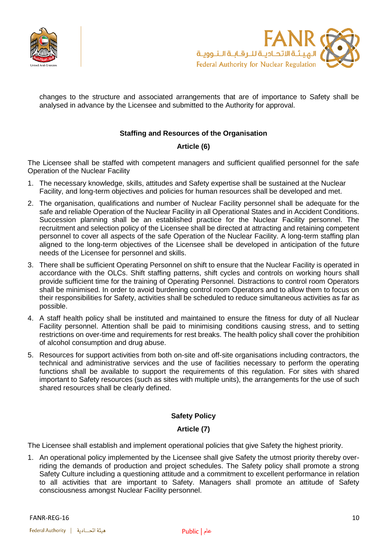



changes to the structure and associated arrangements that are of importance to Safety shall be analysed in advance by the Licensee and submitted to the Authority for approval.

#### **Staffing and Resources of the Organisation**

#### **Article (6)**

<span id="page-9-1"></span><span id="page-9-0"></span>The Licensee shall be staffed with competent managers and sufficient qualified personnel for the safe Operation of the Nuclear Facility

- 1. The necessary knowledge, skills, attitudes and Safety expertise shall be sustained at the Nuclear Facility, and long-term objectives and policies for human resources shall be developed and met.
- 2. The organisation, qualifications and number of Nuclear Facility personnel shall be adequate for the safe and reliable Operation of the Nuclear Facility in all Operational States and in Accident Conditions. Succession planning shall be an established practice for the Nuclear Facility personnel. The recruitment and selection policy of the Licensee shall be directed at attracting and retaining competent personnel to cover all aspects of the safe Operation of the Nuclear Facility. A long-term staffing plan aligned to the long-term objectives of the Licensee shall be developed in anticipation of the future needs of the Licensee for personnel and skills.
- 3. There shall be sufficient Operating Personnel on shift to ensure that the Nuclear Facility is operated in accordance with the OLCs. Shift staffing patterns, shift cycles and controls on working hours shall provide sufficient time for the training of Operating Personnel. Distractions to control room Operators shall be minimised. In order to avoid burdening control room Operators and to allow them to focus on their responsibilities for Safety, activities shall be scheduled to reduce simultaneous activities as far as possible.
- 4. A staff health policy shall be instituted and maintained to ensure the fitness for duty of all Nuclear Facility personnel. Attention shall be paid to minimising conditions causing stress, and to setting restrictions on over-time and requirements for rest breaks. The health policy shall cover the prohibition of alcohol consumption and drug abuse.
- 5. Resources for support activities from both on-site and off-site organisations including contractors, the technical and administrative services and the use of facilities necessary to perform the operating functions shall be available to support the requirements of this regulation. For sites with shared important to Safety resources (such as sites with multiple units), the arrangements for the use of such shared resources shall be clearly defined.

#### **Safety Policy**

#### **Article (7)**

<span id="page-9-3"></span><span id="page-9-2"></span>The Licensee shall establish and implement operational policies that give Safety the highest priority.

1. An operational policy implemented by the Licensee shall give Safety the utmost priority thereby overriding the demands of production and project schedules. The Safety policy shall promote a strong Safety Culture including a questioning attitude and a commitment to excellent performance in relation to all activities that are important to Safety. Managers shall promote an attitude of Safety consciousness amongst Nuclear Facility personnel.

FANR-REG-16 10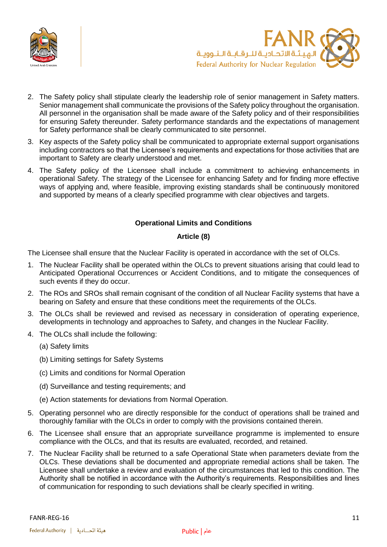



- 2. The Safety policy shall stipulate clearly the leadership role of senior management in Safety matters. Senior management shall communicate the provisions of the Safety policy throughout the organisation. All personnel in the organisation shall be made aware of the Safety policy and of their responsibilities for ensuring Safety thereunder. Safety performance standards and the expectations of management for Safety performance shall be clearly communicated to site personnel.
- 3. Key aspects of the Safety policy shall be communicated to appropriate external support organisations including contractors so that the Licensee's requirements and expectations for those activities that are important to Safety are clearly understood and met.
- 4. The Safety policy of the Licensee shall include a commitment to achieving enhancements in operational Safety. The strategy of the Licensee for enhancing Safety and for finding more effective ways of applying and, where feasible, improving existing standards shall be continuously monitored and supported by means of a clearly specified programme with clear objectives and targets.

#### **Operational Limits and Conditions**

#### **Article (8)**

<span id="page-10-1"></span><span id="page-10-0"></span>The Licensee shall ensure that the Nuclear Facility is operated in accordance with the set of OLCs.

- 1. The Nuclear Facility shall be operated within the OLCs to prevent situations arising that could lead to Anticipated Operational Occurrences or Accident Conditions, and to mitigate the consequences of such events if they do occur.
- 2. The ROs and SROs shall remain cognisant of the condition of all Nuclear Facility systems that have a bearing on Safety and ensure that these conditions meet the requirements of the OLCs.
- 3. The OLCs shall be reviewed and revised as necessary in consideration of operating experience, developments in technology and approaches to Safety, and changes in the Nuclear Facility.
- 4. The OLCs shall include the following:
	- (a) Safety limits
	- (b) Limiting settings for Safety Systems
	- (c) Limits and conditions for Normal Operation
	- (d) Surveillance and testing requirements; and
	- (e) Action statements for deviations from Normal Operation.
- 5. Operating personnel who are directly responsible for the conduct of operations shall be trained and thoroughly familiar with the OLCs in order to comply with the provisions contained therein.
- 6. The Licensee shall ensure that an appropriate surveillance programme is implemented to ensure compliance with the OLCs, and that its results are evaluated, recorded, and retained.
- 7. The Nuclear Facility shall be returned to a safe Operational State when parameters deviate from the OLCs. These deviations shall be documented and appropriate remedial actions shall be taken. The Licensee shall undertake a review and evaluation of the circumstances that led to this condition. The Authority shall be notified in accordance with the Authority's requirements. Responsibilities and lines of communication for responding to such deviations shall be clearly specified in writing.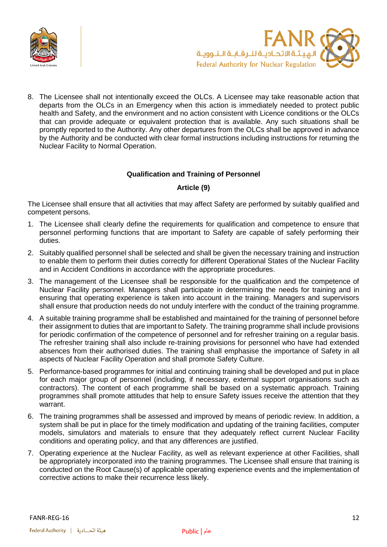



8. The Licensee shall not intentionally exceed the OLCs. A Licensee may take reasonable action that departs from the OLCs in an Emergency when this action is immediately needed to protect public health and Safety, and the environment and no action consistent with Licence conditions or the OLCs that can provide adequate or equivalent protection that is available. Any such situations shall be promptly reported to the Authority. Any other departures from the OLCs shall be approved in advance by the Authority and be conducted with clear formal instructions including instructions for returning the Nuclear Facility to Normal Operation.

#### **Qualification and Training of Personnel**

#### **Article (9)**

<span id="page-11-1"></span><span id="page-11-0"></span>The Licensee shall ensure that all activities that may affect Safety are performed by suitably qualified and competent persons.

- 1. The Licensee shall clearly define the requirements for qualification and competence to ensure that personnel performing functions that are important to Safety are capable of safely performing their duties.
- 2. Suitably qualified personnel shall be selected and shall be given the necessary training and instruction to enable them to perform their duties correctly for different Operational States of the Nuclear Facility and in Accident Conditions in accordance with the appropriate procedures.
- 3. The management of the Licensee shall be responsible for the qualification and the competence of Nuclear Facility personnel. Managers shall participate in determining the needs for training and in ensuring that operating experience is taken into account in the training. Managers and supervisors shall ensure that production needs do not unduly interfere with the conduct of the training programme.
- 4. A suitable training programme shall be established and maintained for the training of personnel before their assignment to duties that are important to Safety. The training programme shall include provisions for periodic confirmation of the competence of personnel and for refresher training on a regular basis. The refresher training shall also include re-training provisions for personnel who have had extended absences from their authorised duties. The training shall emphasise the importance of Safety in all aspects of Nuclear Facility Operation and shall promote Safety Culture.
- 5. Performance-based programmes for initial and continuing training shall be developed and put in place for each major group of personnel (including, if necessary, external support organisations such as contractors). The content of each programme shall be based on a systematic approach. Training programmes shall promote attitudes that help to ensure Safety issues receive the attention that they warrant.
- 6. The training programmes shall be assessed and improved by means of periodic review. In addition, a system shall be put in place for the timely modification and updating of the training facilities, computer models, simulators and materials to ensure that they adequately reflect current Nuclear Facility conditions and operating policy, and that any differences are justified.
- 7. Operating experience at the Nuclear Facility, as well as relevant experience at other Facilities, shall be appropriately incorporated into the training programmes. The Licensee shall ensure that training is conducted on the Root Cause(s) of applicable operating experience events and the implementation of corrective actions to make their recurrence less likely.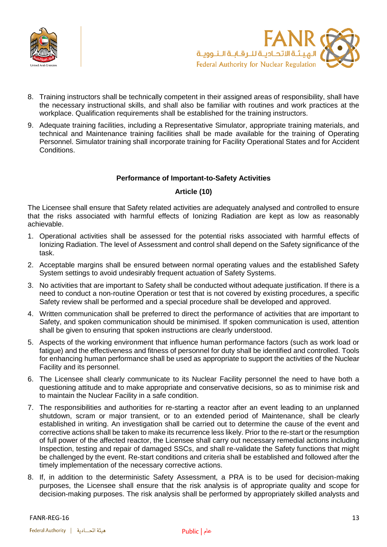



- 8. Training instructors shall be technically competent in their assigned areas of responsibility, shall have the necessary instructional skills, and shall also be familiar with routines and work practices at the workplace. Qualification requirements shall be established for the training instructors.
- 9. Adequate training facilities, including a Representative Simulator, appropriate training materials, and technical and Maintenance training facilities shall be made available for the training of Operating Personnel. Simulator training shall incorporate training for Facility Operational States and for Accident Conditions.

#### **Performance of Important-to-Safety Activities**

#### **Article (10)**

<span id="page-12-1"></span><span id="page-12-0"></span>The Licensee shall ensure that Safety related activities are adequately analysed and controlled to ensure that the risks associated with harmful effects of Ionizing Radiation are kept as low as reasonably achievable.

- 1. Operational activities shall be assessed for the potential risks associated with harmful effects of Ionizing Radiation. The level of Assessment and control shall depend on the Safety significance of the task.
- 2. Acceptable margins shall be ensured between normal operating values and the established Safety System settings to avoid undesirably frequent actuation of Safety Systems.
- 3. No activities that are important to Safety shall be conducted without adequate justification. If there is a need to conduct a non-routine Operation or test that is not covered by existing procedures, a specific Safety review shall be performed and a special procedure shall be developed and approved.
- 4. Written communication shall be preferred to direct the performance of activities that are important to Safety, and spoken communication should be minimised. If spoken communication is used, attention shall be given to ensuring that spoken instructions are clearly understood.
- 5. Aspects of the working environment that influence human performance factors (such as work load or fatigue) and the effectiveness and fitness of personnel for duty shall be identified and controlled. Tools for enhancing human performance shall be used as appropriate to support the activities of the Nuclear Facility and its personnel.
- 6. The Licensee shall clearly communicate to its Nuclear Facility personnel the need to have both a questioning attitude and to make appropriate and conservative decisions, so as to minimise risk and to maintain the Nuclear Facility in a safe condition.
- 7. The responsibilities and authorities for re-starting a reactor after an event leading to an unplanned shutdown, scram or major transient, or to an extended period of Maintenance, shall be clearly established in writing. An investigation shall be carried out to determine the cause of the event and corrective actions shall be taken to make its recurrence less likely. Prior to the re-start or the resumption of full power of the affected reactor, the Licensee shall carry out necessary remedial actions including Inspection, testing and repair of damaged SSCs, and shall re-validate the Safety functions that might be challenged by the event. Re-start conditions and criteria shall be established and followed after the timely implementation of the necessary corrective actions.
- 8. If, in addition to the deterministic Safety Assessment, a PRA is to be used for decision-making purposes, the Licensee shall ensure that the risk analysis is of appropriate quality and scope for decision-making purposes. The risk analysis shall be performed by appropriately skilled analysts and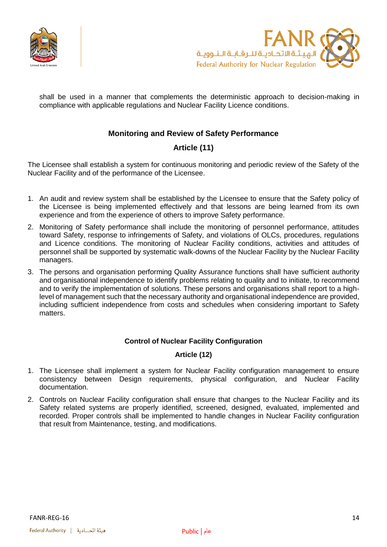



<span id="page-13-0"></span>shall be used in a manner that complements the deterministic approach to decision-making in compliance with applicable regulations and Nuclear Facility Licence conditions.

#### **Monitoring and Review of Safety Performance**

### **Article (11)**

<span id="page-13-1"></span>The Licensee shall establish a system for continuous monitoring and periodic review of the Safety of the Nuclear Facility and of the performance of the Licensee.

- 1. An audit and review system shall be established by the Licensee to ensure that the Safety policy of the Licensee is being implemented effectively and that lessons are being learned from its own experience and from the experience of others to improve Safety performance.
- 2. Monitoring of Safety performance shall include the monitoring of personnel performance, attitudes toward Safety, response to infringements of Safety, and violations of OLCs, procedures, regulations and Licence conditions. The monitoring of Nuclear Facility conditions, activities and attitudes of personnel shall be supported by systematic walk-downs of the Nuclear Facility by the Nuclear Facility managers.
- 3. The persons and organisation performing Quality Assurance functions shall have sufficient authority and organisational independence to identify problems relating to quality and to initiate, to recommend and to verify the implementation of solutions. These persons and organisations shall report to a highlevel of management such that the necessary authority and organisational independence are provided, including sufficient independence from costs and schedules when considering important to Safety matters.

#### **Control of Nuclear Facility Configuration**

#### **Article (12)**

- <span id="page-13-3"></span><span id="page-13-2"></span>1. The Licensee shall implement a system for Nuclear Facility configuration management to ensure consistency between Design requirements, physical configuration, and Nuclear Facility documentation.
- 2. Controls on Nuclear Facility configuration shall ensure that changes to the Nuclear Facility and its Safety related systems are properly identified, screened, designed, evaluated, implemented and recorded. Proper controls shall be implemented to handle changes in Nuclear Facility configuration that result from Maintenance, testing, and modifications.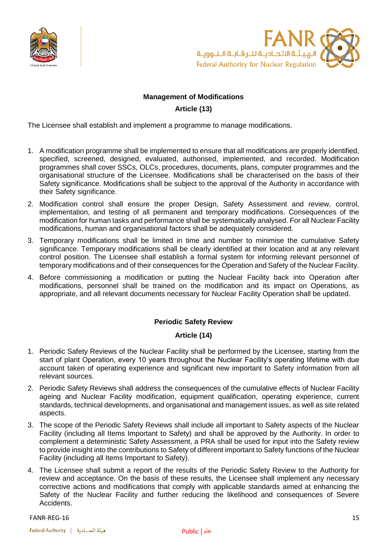



#### **Management of Modifications**

#### **Article (13)**

<span id="page-14-0"></span>The Licensee shall establish and implement a programme to manage modifications.

- 1. A modification programme shall be implemented to ensure that all modifications are properly identified, specified, screened, designed, evaluated, authorised, implemented, and recorded. Modification programmes shall cover SSCs, OLCs, procedures, documents, plans, computer programmes and the organisational structure of the Licensee. Modifications shall be characterised on the basis of their Safety significance. Modifications shall be subject to the approval of the Authority in accordance with their Safety significance.
- 2. Modification control shall ensure the proper Design, Safety Assessment and review, control, implementation, and testing of all permanent and temporary modifications. Consequences of the modification for human tasks and performance shall be systematically analysed. For all Nuclear Facility modifications, human and organisational factors shall be adequately considered.
- 3. Temporary modifications shall be limited in time and number to minimise the cumulative Safety significance. Temporary modifications shall be clearly identified at their location and at any relevant control position. The Licensee shall establish a formal system for informing relevant personnel of temporary modifications and of their consequences for the Operation and Safety of the Nuclear Facility.
- 4. Before commissioning a modification or putting the Nuclear Facility back into Operation after modifications, personnel shall be trained on the modification and its impact on Operations, as appropriate, and all relevant documents necessary for Nuclear Facility Operation shall be updated.

#### **Periodic Safety Review**

#### **Article (14)**

- <span id="page-14-2"></span><span id="page-14-1"></span>1. Periodic Safety Reviews of the Nuclear Facility shall be performed by the Licensee, starting from the start of plant Operation, every 10 years throughout the Nuclear Facility's operating lifetime with due account taken of operating experience and significant new important to Safety information from all relevant sources.
- 2. Periodic Safety Reviews shall address the consequences of the cumulative effects of Nuclear Facility ageing and Nuclear Facility modification, equipment qualification, operating experience, current standards, technical developments, and organisational and management issues, as well as site related aspects.
- 3. The scope of the Periodic Safety Reviews shall include all important to Safety aspects of the Nuclear Facility (including all Items Important to Safety) and shall be approved by the Authority. In order to complement a deterministic Safety Assessment, a PRA shall be used for input into the Safety review to provide insight into the contributions to Safety of different important to Safety functions of the Nuclear Facility (including all Items Important to Safety).
- 4. The Licensee shall submit a report of the results of the Periodic Safety Review to the Authority for review and acceptance. On the basis of these results, the Licensee shall implement any necessary corrective actions and modifications that comply with applicable standards aimed at enhancing the Safety of the Nuclear Facility and further reducing the likelihood and consequences of Severe Accidents.

FANR-REG-16 15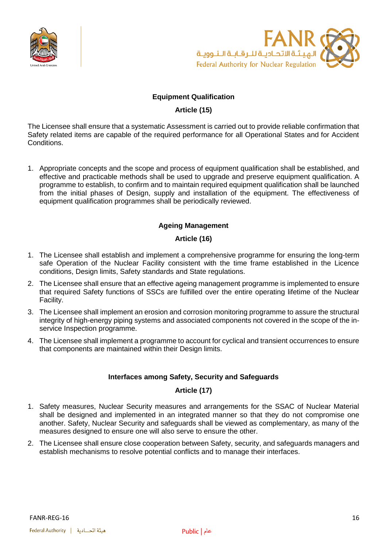



#### **Equipment Qualification**

#### **Article (15)**

<span id="page-15-1"></span><span id="page-15-0"></span>The Licensee shall ensure that a systematic Assessment is carried out to provide reliable confirmation that Safety related items are capable of the required performance for all Operational States and for Accident Conditions.

1. Appropriate concepts and the scope and process of equipment qualification shall be established, and effective and practicable methods shall be used to upgrade and preserve equipment qualification. A programme to establish, to confirm and to maintain required equipment qualification shall be launched from the initial phases of Design, supply and installation of the equipment. The effectiveness of equipment qualification programmes shall be periodically reviewed.

#### **Ageing Management**

#### **Article (16)**

- <span id="page-15-3"></span><span id="page-15-2"></span>1. The Licensee shall establish and implement a comprehensive programme for ensuring the long-term safe Operation of the Nuclear Facility consistent with the time frame established in the Licence conditions, Design limits, Safety standards and State regulations.
- 2. The Licensee shall ensure that an effective ageing management programme is implemented to ensure that required Safety functions of SSCs are fulfilled over the entire operating lifetime of the Nuclear Facility.
- 3. The Licensee shall implement an erosion and corrosion monitoring programme to assure the structural integrity of high-energy piping systems and associated components not covered in the scope of the inservice Inspection programme.
- <span id="page-15-4"></span>4. The Licensee shall implement a programme to account for cyclical and transient occurrences to ensure that components are maintained within their Design limits.

#### **Interfaces among Safety, Security and Safeguards**

#### **Article (17)**

- <span id="page-15-5"></span>1. Safety measures, Nuclear Security measures and arrangements for the SSAC of Nuclear Material shall be designed and implemented in an integrated manner so that they do not compromise one another. Safety, Nuclear Security and safeguards shall be viewed as complementary, as many of the measures designed to ensure one will also serve to ensure the other.
- 2. The Licensee shall ensure close cooperation between Safety, security, and safeguards managers and establish mechanisms to resolve potential conflicts and to manage their interfaces.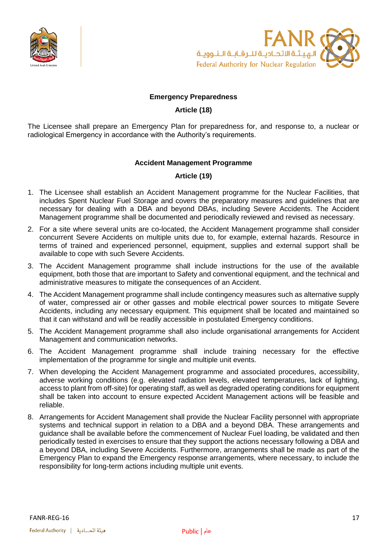



#### **Emergency Preparedness**

#### **Article (18)**

<span id="page-16-2"></span><span id="page-16-1"></span><span id="page-16-0"></span>The Licensee shall prepare an Emergency Plan for preparedness for, and response to, a nuclear or radiological Emergency in accordance with the Authority's requirements.

#### **Accident Management Programme**

#### **Article (19)**

- <span id="page-16-3"></span>1. The Licensee shall establish an Accident Management programme for the Nuclear Facilities, that includes Spent Nuclear Fuel Storage and covers the preparatory measures and guidelines that are necessary for dealing with a DBA and beyond DBAs, including Severe Accidents. The Accident Management programme shall be documented and periodically reviewed and revised as necessary.
- 2. For a site where several units are co-located, the Accident Management programme shall consider concurrent Severe Accidents on multiple units due to, for example, external hazards. Resource in terms of trained and experienced personnel, equipment, supplies and external support shall be available to cope with such Severe Accidents.
- 3. The Accident Management programme shall include instructions for the use of the available equipment, both those that are important to Safety and conventional equipment, and the technical and administrative measures to mitigate the consequences of an Accident.
- 4. The Accident Management programme shall include contingency measures such as alternative supply of water, compressed air or other gasses and mobile electrical power sources to mitigate Severe Accidents, including any necessary equipment. This equipment shall be located and maintained so that it can withstand and will be readily accessible in postulated Emergency conditions.
- 5. The Accident Management programme shall also include organisational arrangements for Accident Management and communication networks.
- 6. The Accident Management programme shall include training necessary for the effective implementation of the programme for single and multiple unit events.
- 7. When developing the Accident Management programme and associated procedures, accessibility, adverse working conditions (e.g. elevated radiation levels, elevated temperatures, lack of lighting, access to plant from off-site) for operating staff, as well as degraded operating conditions for equipment shall be taken into account to ensure expected Accident Management actions will be feasible and reliable.
- 8. Arrangements for Accident Management shall provide the Nuclear Facility personnel with appropriate systems and technical support in relation to a DBA and a beyond DBA. These arrangements and guidance shall be available before the commencement of Nuclear Fuel loading, be validated and then periodically tested in exercises to ensure that they support the actions necessary following a DBA and a beyond DBA, including Severe Accidents. Furthermore, arrangements shall be made as part of the Emergency Plan to expand the Emergency response arrangements, where necessary, to include the responsibility for long-term actions including multiple unit events.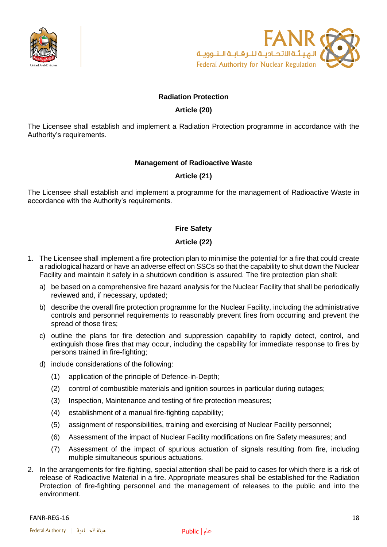



#### **Radiation Protection**

#### **Article (20)**

<span id="page-17-2"></span><span id="page-17-1"></span><span id="page-17-0"></span>The Licensee shall establish and implement a Radiation Protection programme in accordance with the Authority's requirements.

#### **Management of Radioactive Waste**

#### **Article (21)**

<span id="page-17-4"></span><span id="page-17-3"></span>The Licensee shall establish and implement a programme for the management of Radioactive Waste in accordance with the Authority's requirements.

#### **Fire Safety**

#### **Article (22)**

- <span id="page-17-5"></span>1. The Licensee shall implement a fire protection plan to minimise the potential for a fire that could create a radiological hazard or have an adverse effect on SSCs so that the capability to shut down the Nuclear Facility and maintain it safely in a shutdown condition is assured. The fire protection plan shall:
	- a) be based on a comprehensive fire hazard analysis for the Nuclear Facility that shall be periodically reviewed and, if necessary, updated;
	- b) describe the overall fire protection programme for the Nuclear Facility, including the administrative controls and personnel requirements to reasonably prevent fires from occurring and prevent the spread of those fires;
	- c) outline the plans for fire detection and suppression capability to rapidly detect, control, and extinguish those fires that may occur, including the capability for immediate response to fires by persons trained in fire-fighting;
	- d) include considerations of the following:
		- (1) application of the principle of Defence-in-Depth;
		- (2) control of combustible materials and ignition sources in particular during outages;
		- (3) Inspection, Maintenance and testing of fire protection measures;
		- (4) establishment of a manual fire-fighting capability;
		- (5) assignment of responsibilities, training and exercising of Nuclear Facility personnel;
		- (6) Assessment of the impact of Nuclear Facility modifications on fire Safety measures; and
		- (7) Assessment of the impact of spurious actuation of signals resulting from fire, including multiple simultaneous spurious actuations.
- 2. In the arrangements for fire-fighting, special attention shall be paid to cases for which there is a risk of release of Radioactive Material in a fire. Appropriate measures shall be established for the Radiation Protection of fire-fighting personnel and the management of releases to the public and into the environment.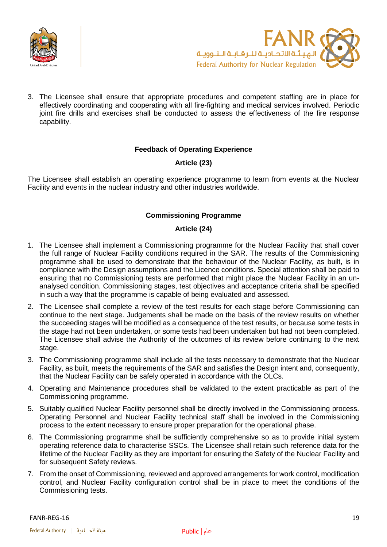



3. The Licensee shall ensure that appropriate procedures and competent staffing are in place for effectively coordinating and cooperating with all fire-fighting and medical services involved. Periodic joint fire drills and exercises shall be conducted to assess the effectiveness of the fire response capability.

#### **Feedback of Operating Experience**

#### **Article (23)**

<span id="page-18-2"></span><span id="page-18-1"></span><span id="page-18-0"></span>The Licensee shall establish an operating experience programme to learn from events at the Nuclear Facility and events in the nuclear industry and other industries worldwide.

#### **Commissioning Programme**

#### **Article (24)**

- <span id="page-18-3"></span>1. The Licensee shall implement a Commissioning programme for the Nuclear Facility that shall cover the full range of Nuclear Facility conditions required in the SAR. The results of the Commissioning programme shall be used to demonstrate that the behaviour of the Nuclear Facility, as built, is in compliance with the Design assumptions and the Licence conditions. Special attention shall be paid to ensuring that no Commissioning tests are performed that might place the Nuclear Facility in an unanalysed condition. Commissioning stages, test objectives and acceptance criteria shall be specified in such a way that the programme is capable of being evaluated and assessed.
- 2. The Licensee shall complete a review of the test results for each stage before Commissioning can continue to the next stage. Judgements shall be made on the basis of the review results on whether the succeeding stages will be modified as a consequence of the test results, or because some tests in the stage had not been undertaken, or some tests had been undertaken but had not been completed. The Licensee shall advise the Authority of the outcomes of its review before continuing to the next stage.
- 3. The Commissioning programme shall include all the tests necessary to demonstrate that the Nuclear Facility, as built, meets the requirements of the SAR and satisfies the Design intent and, consequently, that the Nuclear Facility can be safely operated in accordance with the OLCs.
- 4. Operating and Maintenance procedures shall be validated to the extent practicable as part of the Commissioning programme.
- 5. Suitably qualified Nuclear Facility personnel shall be directly involved in the Commissioning process. Operating Personnel and Nuclear Facility technical staff shall be involved in the Commissioning process to the extent necessary to ensure proper preparation for the operational phase.
- 6. The Commissioning programme shall be sufficiently comprehensive so as to provide initial system operating reference data to characterise SSCs. The Licensee shall retain such reference data for the lifetime of the Nuclear Facility as they are important for ensuring the Safety of the Nuclear Facility and for subsequent Safety reviews.
- 7. From the onset of Commissioning, reviewed and approved arrangements for work control, modification control, and Nuclear Facility configuration control shall be in place to meet the conditions of the Commissioning tests.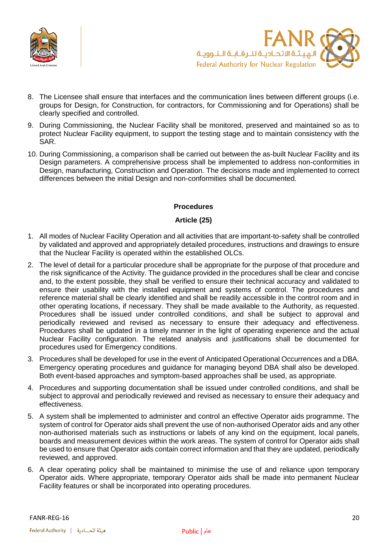



- 8. The Licensee shall ensure that interfaces and the communication lines between different groups (i.e. groups for Design, for Construction, for contractors, for Commissioning and for Operations) shall be clearly specified and controlled.
- 9. During Commissioning, the Nuclear Facility shall be monitored, preserved and maintained so as to protect Nuclear Facility equipment, to support the testing stage and to maintain consistency with the SAR.
- 10. During Commissioning, a comparison shall be carried out between the as-built Nuclear Facility and its Design parameters. A comprehensive process shall be implemented to address non-conformities in Design, manufacturing, Construction and Operation. The decisions made and implemented to correct differences between the initial Design and non-conformities shall be documented.

#### **Procedures**

#### **Article (25)**

- <span id="page-19-1"></span><span id="page-19-0"></span>1. All modes of Nuclear Facility Operation and all activities that are important-to-safety shall be controlled by validated and approved and appropriately detailed procedures, instructions and drawings to ensure that the Nuclear Facility is operated within the established OLCs.
- 2. The level of detail for a particular procedure shall be appropriate for the purpose of that procedure and the risk significance of the Activity. The guidance provided in the procedures shall be clear and concise and, to the extent possible, they shall be verified to ensure their technical accuracy and validated to ensure their usability with the installed equipment and systems of control. The procedures and reference material shall be clearly identified and shall be readily accessible in the control room and in other operating locations, if necessary. They shall be made available to the Authority, as requested. Procedures shall be issued under controlled conditions, and shall be subject to approval and periodically reviewed and revised as necessary to ensure their adequacy and effectiveness. Procedures shall be updated in a timely manner in the light of operating experience and the actual Nuclear Facility configuration. The related analysis and justifications shall be documented for procedures used for Emergency conditions.
- 3. Procedures shall be developed for use in the event of Anticipated Operational Occurrences and a DBA. Emergency operating procedures and guidance for managing beyond DBA shall also be developed. Both event-based approaches and symptom-based approaches shall be used, as appropriate.
- 4. Procedures and supporting documentation shall be issued under controlled conditions, and shall be subject to approval and periodically reviewed and revised as necessary to ensure their adequacy and effectiveness.
- 5. A system shall be implemented to administer and control an effective Operator aids programme. The system of control for Operator aids shall prevent the use of non-authorised Operator aids and any other non-authorised materials such as instructions or labels of any kind on the equipment, local panels, boards and measurement devices within the work areas. The system of control for Operator aids shall be used to ensure that Operator aids contain correct information and that they are updated, periodically reviewed, and approved.
- 6. A clear operating policy shall be maintained to minimise the use of and reliance upon temporary Operator aids. Where appropriate, temporary Operator aids shall be made into permanent Nuclear Facility features or shall be incorporated into operating procedures.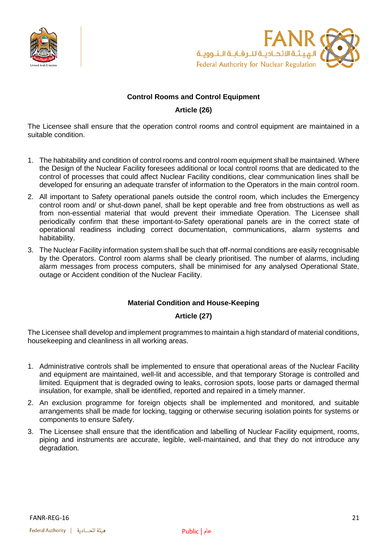



#### **Control Rooms and Control Equipment**

#### **Article (26)**

<span id="page-20-1"></span><span id="page-20-0"></span>The Licensee shall ensure that the operation control rooms and control equipment are maintained in a suitable condition.

- 1. The habitability and condition of control rooms and control room equipment shall be maintained. Where the Design of the Nuclear Facility foresees additional or local control rooms that are dedicated to the control of processes that could affect Nuclear Facility conditions, clear communication lines shall be developed for ensuring an adequate transfer of information to the Operators in the main control room.
- 2. All important to Safety operational panels outside the control room, which includes the Emergency control room and/ or shut-down panel, shall be kept operable and free from obstructions as well as from non-essential material that would prevent their immediate Operation. The Licensee shall periodically confirm that these important-to-Safety operational panels are in the correct state of operational readiness including correct documentation, communications, alarm systems and habitability.
- 3. The Nuclear Facility information system shall be such that off-normal conditions are easily recognisable by the Operators. Control room alarms shall be clearly prioritised. The number of alarms, including alarm messages from process computers, shall be minimised for any analysed Operational State, outage or Accident condition of the Nuclear Facility.

#### **Material Condition and House-Keeping**

#### **Article (27)**

<span id="page-20-3"></span><span id="page-20-2"></span>The Licensee shall develop and implement programmes to maintain a high standard of material conditions, housekeeping and cleanliness in all working areas.

- 1. Administrative controls shall be implemented to ensure that operational areas of the Nuclear Facility and equipment are maintained, well-lit and accessible, and that temporary Storage is controlled and limited. Equipment that is degraded owing to leaks, corrosion spots, loose parts or damaged thermal insulation, for example, shall be identified, reported and repaired in a timely manner.
- 2. An exclusion programme for foreign objects shall be implemented and monitored, and suitable arrangements shall be made for locking, tagging or otherwise securing isolation points for systems or components to ensure Safety.
- 3. The Licensee shall ensure that the identification and labelling of Nuclear Facility equipment, rooms, piping and instruments are accurate, legible, well-maintained, and that they do not introduce any degradation.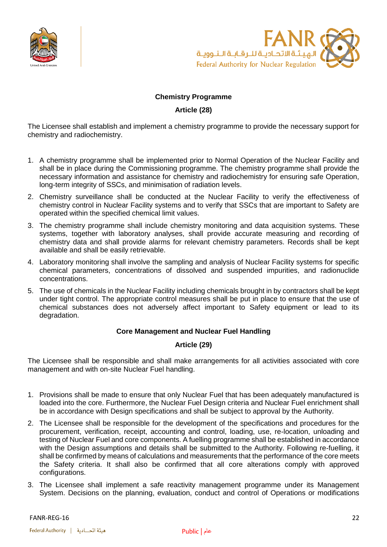



#### **Chemistry Programme**

#### **Article (28)**

<span id="page-21-1"></span><span id="page-21-0"></span>The Licensee shall establish and implement a chemistry programme to provide the necessary support for chemistry and radiochemistry.

- 1. A chemistry programme shall be implemented prior to Normal Operation of the Nuclear Facility and shall be in place during the Commissioning programme. The chemistry programme shall provide the necessary information and assistance for chemistry and radiochemistry for ensuring safe Operation, long-term integrity of SSCs, and minimisation of radiation levels.
- 2. Chemistry surveillance shall be conducted at the Nuclear Facility to verify the effectiveness of chemistry control in Nuclear Facility systems and to verify that SSCs that are important to Safety are operated within the specified chemical limit values.
- 3. The chemistry programme shall include chemistry monitoring and data acquisition systems. These systems, together with laboratory analyses, shall provide accurate measuring and recording of chemistry data and shall provide alarms for relevant chemistry parameters. Records shall be kept available and shall be easily retrievable.
- 4. Laboratory monitoring shall involve the sampling and analysis of Nuclear Facility systems for specific chemical parameters, concentrations of dissolved and suspended impurities, and radionuclide concentrations.
- 5. The use of chemicals in the Nuclear Facility including chemicals brought in by contractors shall be kept under tight control. The appropriate control measures shall be put in place to ensure that the use of chemical substances does not adversely affect important to Safety equipment or lead to its degradation.

#### **Core Management and Nuclear Fuel Handling**

#### **Article (29)**

<span id="page-21-3"></span><span id="page-21-2"></span>The Licensee shall be responsible and shall make arrangements for all activities associated with core management and with on-site Nuclear Fuel handling.

- 1. Provisions shall be made to ensure that only Nuclear Fuel that has been adequately manufactured is loaded into the core. Furthermore, the Nuclear Fuel Design criteria and Nuclear Fuel enrichment shall be in accordance with Design specifications and shall be subject to approval by the Authority.
- 2. The Licensee shall be responsible for the development of the specifications and procedures for the procurement, verification, receipt, accounting and control, loading, use, re-location, unloading and testing of Nuclear Fuel and core components. A fuelling programme shall be established in accordance with the Design assumptions and details shall be submitted to the Authority. Following re-fuelling, it shall be confirmed by means of calculations and measurements that the performance of the core meets the Safety criteria. It shall also be confirmed that all core alterations comply with approved configurations.
- 3. The Licensee shall implement a safe reactivity management programme under its Management System. Decisions on the planning, evaluation, conduct and control of Operations or modifications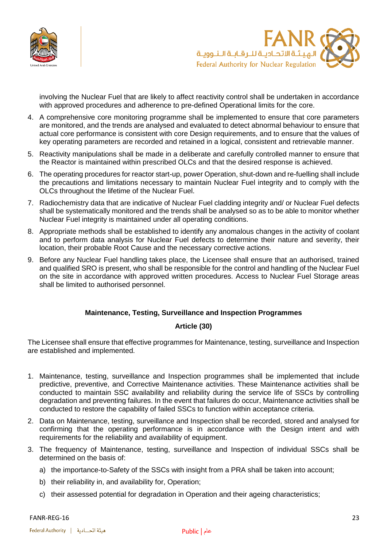



involving the Nuclear Fuel that are likely to affect reactivity control shall be undertaken in accordance with approved procedures and adherence to pre-defined Operational limits for the core.

- 4. A comprehensive core monitoring programme shall be implemented to ensure that core parameters are monitored, and the trends are analysed and evaluated to detect abnormal behaviour to ensure that actual core performance is consistent with core Design requirements, and to ensure that the values of key operating parameters are recorded and retained in a logical, consistent and retrievable manner.
- 5. Reactivity manipulations shall be made in a deliberate and carefully controlled manner to ensure that the Reactor is maintained within prescribed OLCs and that the desired response is achieved.
- 6. The operating procedures for reactor start-up, power Operation, shut-down and re-fuelling shall include the precautions and limitations necessary to maintain Nuclear Fuel integrity and to comply with the OLCs throughout the lifetime of the Nuclear Fuel.
- 7. Radiochemistry data that are indicative of Nuclear Fuel cladding integrity and/ or Nuclear Fuel defects shall be systematically monitored and the trends shall be analysed so as to be able to monitor whether Nuclear Fuel integrity is maintained under all operating conditions.
- 8. Appropriate methods shall be established to identify any anomalous changes in the activity of coolant and to perform data analysis for Nuclear Fuel defects to determine their nature and severity, their location, their probable Root Cause and the necessary corrective actions.
- 9. Before any Nuclear Fuel handling takes place, the Licensee shall ensure that an authorised, trained and qualified SRO is present, who shall be responsible for the control and handling of the Nuclear Fuel on the site in accordance with approved written procedures. Access to Nuclear Fuel Storage areas shall be limited to authorised personnel.

#### **Maintenance, Testing, Surveillance and Inspection Programmes**

#### **Article (30)**

<span id="page-22-1"></span><span id="page-22-0"></span>The Licensee shall ensure that effective programmes for Maintenance, testing, surveillance and Inspection are established and implemented.

- 1. Maintenance, testing, surveillance and Inspection programmes shall be implemented that include predictive, preventive, and Corrective Maintenance activities. These Maintenance activities shall be conducted to maintain SSC availability and reliability during the service life of SSCs by controlling degradation and preventing failures. In the event that failures do occur, Maintenance activities shall be conducted to restore the capability of failed SSCs to function within acceptance criteria.
- 2. Data on Maintenance, testing, surveillance and Inspection shall be recorded, stored and analysed for confirming that the operating performance is in accordance with the Design intent and with requirements for the reliability and availability of equipment.
- 3. The frequency of Maintenance, testing, surveillance and Inspection of individual SSCs shall be determined on the basis of:
	- a) the importance-to-Safety of the SSCs with insight from a PRA shall be taken into account;
	- b) their reliability in, and availability for, Operation;
	- c) their assessed potential for degradation in Operation and their ageing characteristics;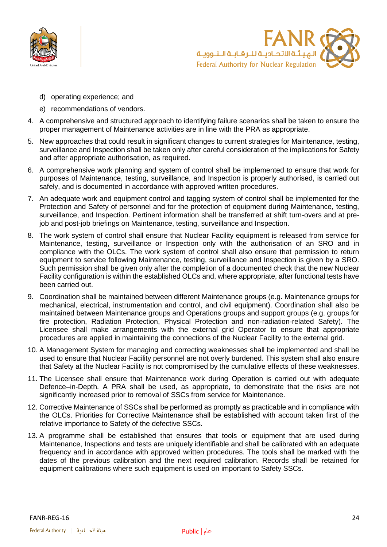



- d) operating experience; and
- e) recommendations of vendors.
- 4. A comprehensive and structured approach to identifying failure scenarios shall be taken to ensure the proper management of Maintenance activities are in line with the PRA as appropriate.
- 5. New approaches that could result in significant changes to current strategies for Maintenance, testing, surveillance and Inspection shall be taken only after careful consideration of the implications for Safety and after appropriate authorisation, as required.
- 6. A comprehensive work planning and system of control shall be implemented to ensure that work for purposes of Maintenance, testing, surveillance, and Inspection is properly authorised, is carried out safely, and is documented in accordance with approved written procedures.
- 7. An adequate work and equipment control and tagging system of control shall be implemented for the Protection and Safety of personnel and for the protection of equipment during Maintenance, testing, surveillance, and Inspection. Pertinent information shall be transferred at shift turn-overs and at prejob and post-job briefings on Maintenance, testing, surveillance and Inspection.
- 8. The work system of control shall ensure that Nuclear Facility equipment is released from service for Maintenance, testing, surveillance or Inspection only with the authorisation of an SRO and in compliance with the OLCs. The work system of control shall also ensure that permission to return equipment to service following Maintenance, testing, surveillance and Inspection is given by a SRO. Such permission shall be given only after the completion of a documented check that the new Nuclear Facility configuration is within the established OLCs and, where appropriate, after functional tests have been carried out.
- 9. Coordination shall be maintained between different Maintenance groups (e.g. Maintenance groups for mechanical, electrical, instrumentation and control, and civil equipment). Coordination shall also be maintained between Maintenance groups and Operations groups and support groups (e.g. groups for fire protection, Radiation Protection, Physical Protection and non-radiation-related Safety). The Licensee shall make arrangements with the external grid Operator to ensure that appropriate procedures are applied in maintaining the connections of the Nuclear Facility to the external grid.
- 10. A Management System for managing and correcting weaknesses shall be implemented and shall be used to ensure that Nuclear Facility personnel are not overly burdened. This system shall also ensure that Safety at the Nuclear Facility is not compromised by the cumulative effects of these weaknesses.
- 11. The Licensee shall ensure that Maintenance work during Operation is carried out with adequate Defence–in-Depth. A PRA shall be used, as appropriate, to demonstrate that the risks are not significantly increased prior to removal of SSCs from service for Maintenance.
- 12. Corrective Maintenance of SSCs shall be performed as promptly as practicable and in compliance with the OLCs. Priorities for Corrective Maintenance shall be established with account taken first of the relative importance to Safety of the defective SSCs.
- 13. A programme shall be established that ensures that tools or equipment that are used during Maintenance, Inspections and tests are uniquely identifiable and shall be calibrated with an adequate frequency and in accordance with approved written procedures. The tools shall be marked with the dates of the previous calibration and the next required calibration. Records shall be retained for equipment calibrations where such equipment is used on important to Safety SSCs.